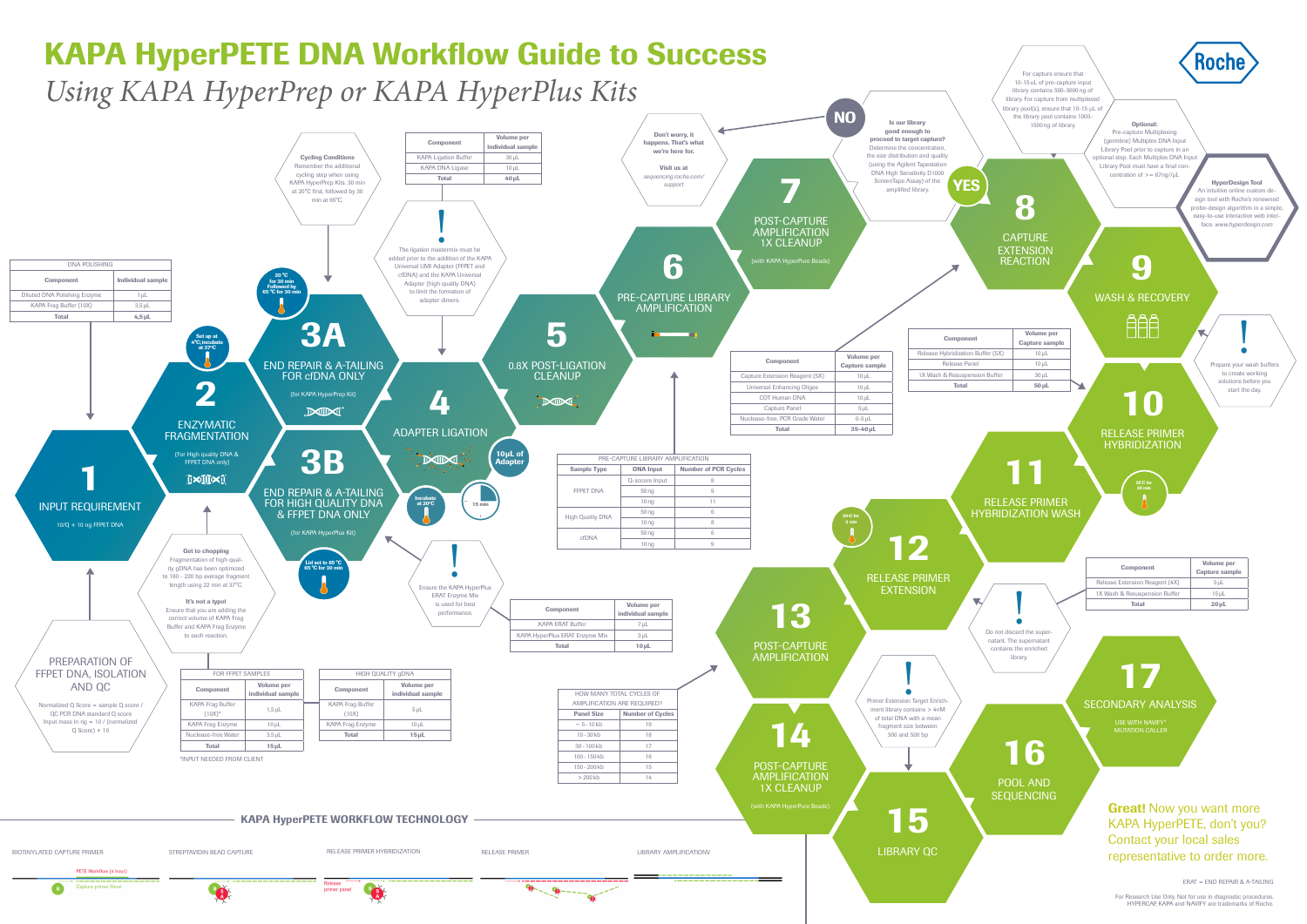







For Research Use Only. Not for use in diagnostic procedures. HYPERCAP, KAPA and NAVIFY are trademarks of Roche.